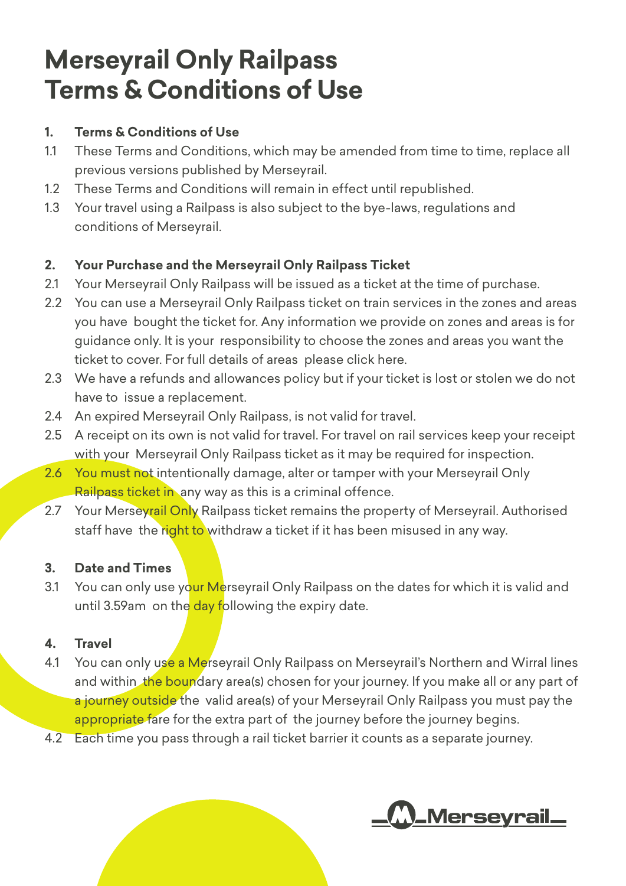# **Merseyrail Only Railpass Terms & Conditions of Use**

### **1. Terms & Conditions of Use**

- 1.1 These Terms and Conditions, which may be amended from time to time, replace all previous versions published by Merseyrail.
- 1.2 These Terms and Conditions will remain in effect until republished.
- 1.3 Your travel using a Railpass is also subject to the bye-laws, regulations and conditions of Merseyrail.

## **2. Your Purchase and the Merseyrail Only Railpass Ticket**

- 2.1 Your Merseyrail Only Railpass will be issued as a ticket at the time of purchase.
- 2.2 You can use a Merseyrail Only Railpass ticket on train services in the zones and areas you have bought the ticket for. Any information we provide on zones and areas is for guidance only. It is your responsibility to choose the zones and areas you want the ticket to cover. For full details of areas [please click here.](https://www.merseyrail.org/tickets-passes/season-tickets/railpass.aspx)
- 2.3 We have a refunds and allowances policy but if your ticket is lost or stolen we do not have to issue a replacement.
- 2.4 An expired Merseyrail Only Railpass, is not valid for travel.
- 2.5 A receipt on its own is not valid for travel. For travel on rail services keep your receipt with your Merseyrail Only Railpass ticket as it may be required for inspection.
- 2.6 You must not intentionally damage, alter or tamper with your Merseyrail Only Railpass ticket in any way as this is a criminal offence.
- 2.7 Your Merseyrail Only Railpass ticket remains the property of Merseyrail. Authorised staff have the right to withdraw a ticket if it has been misused in any way.

#### **3. Date and Times**

3.1 You can only use your Merseyrail Only Railpass on the dates for which it is valid and until 3.59am on the day following the expiry date.

## **4. Travel**

- 4.1 You can only use a Merseyrail Only Railpass on Merseyrail's Northern and Wirral lines and within the boundary area(s) chosen for your journey. If you make all or any part of a journey outside the valid area(s) of your Merseyrail Only Railpass you must pay the appropriate fare for the extra part of the journey before the journey begins.
- 4.2 Each time you pass through a rail ticket barrier it counts as a separate journey.